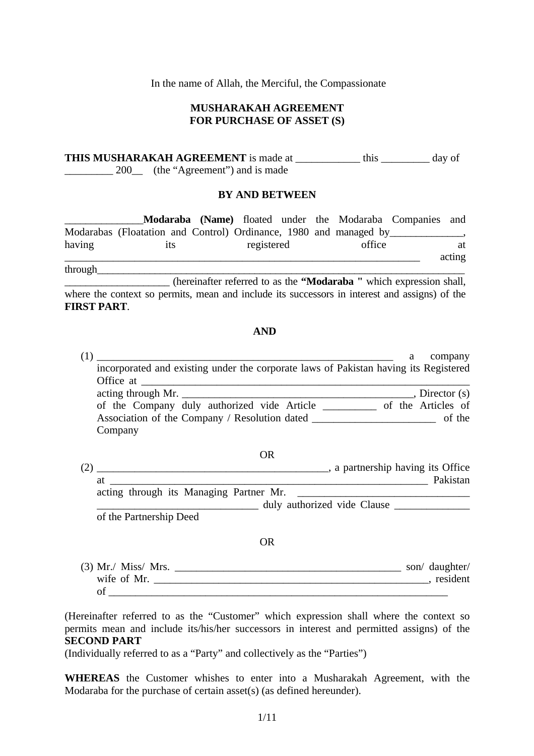In the name of Allah, the Merciful, the Compassionate

#### **MUSHARAKAH AGREEMENT FOR PURCHASE OF ASSET (S)**

**THIS MUSHARAKAH AGREEMENT** is made at \_\_\_\_\_\_\_\_\_\_\_\_ this \_\_\_\_\_\_\_\_\_ day of \_\_\_\_\_\_\_\_\_\_ 200\_\_ (the "Agreement") and is made

#### **BY AND BETWEEN**

 \_\_\_\_\_\_\_\_\_\_\_\_\_\_\_**Modaraba (Name)** floated under the Modaraba Companies and Modarabas (Floatation and Control) Ordinance, 1980 and managed by having its registered office at \_\_\_\_\_\_\_\_\_\_\_\_\_\_\_\_\_\_\_\_\_\_\_\_\_\_\_\_\_\_\_\_\_\_\_\_\_\_\_\_\_\_\_\_\_\_\_\_\_\_\_\_\_\_\_\_\_\_\_\_\_\_\_\_\_\_ acting through

\_\_\_\_\_\_\_\_\_\_\_\_\_\_\_\_\_\_\_\_ (hereinafter referred to as the **"Modaraba "** which expression shall, where the context so permits, mean and include its successors in interest and assigns) of the **FIRST PART**.

#### **AND**

| a                                                                                                          | company |
|------------------------------------------------------------------------------------------------------------|---------|
| incorporated and existing under the corporate laws of Pakistan having its Registered                       |         |
|                                                                                                            |         |
|                                                                                                            |         |
| of the Company duly authorized vide Article _________ of the Articles of                                   |         |
|                                                                                                            |         |
| Company                                                                                                    |         |
|                                                                                                            |         |
| <b>OR</b>                                                                                                  |         |
|                                                                                                            |         |
|                                                                                                            |         |
| acting through its Managing Partner Mr.<br><u> 1989 - Johann Barn, fransk politik amerikansk politik (</u> |         |
| duly authorized vide Clause                                                                                |         |
| of the Partnership Deed                                                                                    |         |
| <b>OR</b>                                                                                                  |         |
|                                                                                                            |         |
|                                                                                                            |         |
|                                                                                                            |         |

(Hereinafter referred to as the "Customer" which expression shall where the context so permits mean and include its/his/her successors in interest and permitted assigns) of the **SECOND PART** 

(Individually referred to as a "Party" and collectively as the "Parties")

**WHEREAS** the Customer whishes to enter into a Musharakah Agreement, with the Modaraba for the purchase of certain asset(s) (as defined hereunder).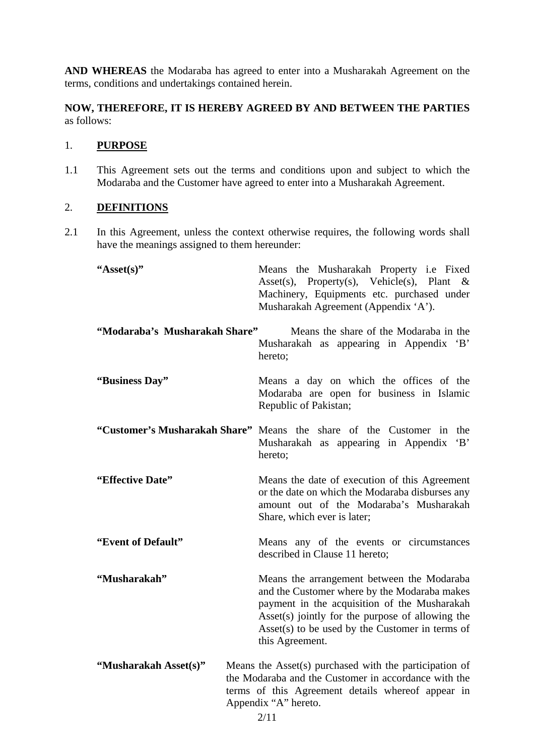**AND WHEREAS** the Modaraba has agreed to enter into a Musharakah Agreement on the terms, conditions and undertakings contained herein.

**NOW, THEREFORE, IT IS HEREBY AGREED BY AND BETWEEN THE PARTIES** as follows:

#### 1. **PURPOSE**

1.1 This Agreement sets out the terms and conditions upon and subject to which the Modaraba and the Customer have agreed to enter into a Musharakah Agreement.

### 2. **DEFINITIONS**

2.1 In this Agreement, unless the context otherwise requires, the following words shall have the meanings assigned to them hereunder:

| "Asset $(s)$ "                | Means the Musharakah Property i.e Fixed<br>Asset(s), Property(s), Vehicle(s), Plant<br>$\&$<br>Machinery, Equipments etc. purchased under<br>Musharakah Agreement (Appendix 'A').                                                                                          |  |
|-------------------------------|----------------------------------------------------------------------------------------------------------------------------------------------------------------------------------------------------------------------------------------------------------------------------|--|
| "Modaraba's Musharakah Share" | Means the share of the Modaraba in the<br>Musharakah as appearing in Appendix 'B'<br>hereto;                                                                                                                                                                               |  |
| "Business Day"                | Means a day on which the offices of the<br>Modaraba are open for business in Islamic<br>Republic of Pakistan;                                                                                                                                                              |  |
|                               | "Customer's Musharakah Share" Means the share of the Customer in<br>the<br>B<br>Musharakah as appearing in Appendix<br>hereto;                                                                                                                                             |  |
| "Effective Date"              | Means the date of execution of this Agreement<br>or the date on which the Modaraba disburses any<br>amount out of the Modaraba's Musharakah<br>Share, which ever is later;                                                                                                 |  |
| "Event of Default"            | Means any of the events or circumstances<br>described in Clause 11 hereto;                                                                                                                                                                                                 |  |
| "Musharakah"                  | Means the arrangement between the Modaraba<br>and the Customer where by the Modaraba makes<br>payment in the acquisition of the Musharakah<br>Asset $(s)$ jointly for the purpose of allowing the<br>Asset $(s)$ to be used by the Customer in terms of<br>this Agreement. |  |
| "Musharakah Asset(s)"         | Means the Asset(s) purchased with the participation of<br>the Modaraba and the Customer in accordance with the<br>terms of this Agreement details whereof appear in<br>Appendix "A" hereto.                                                                                |  |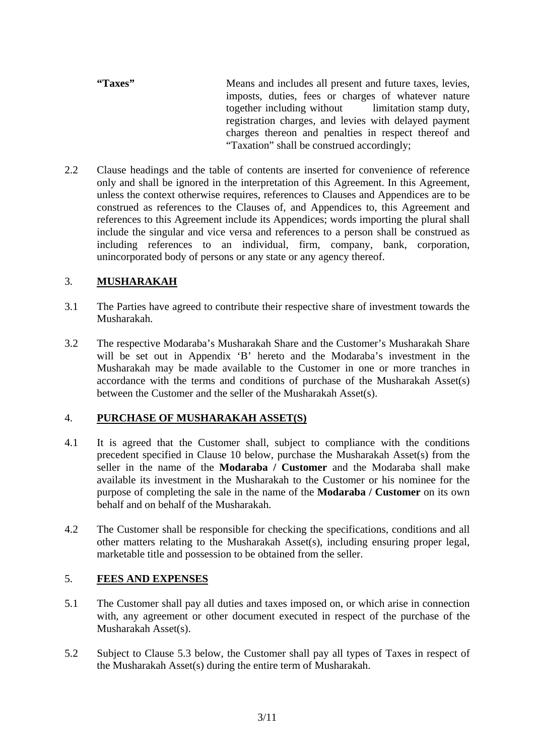- **"Taxes"** Means and includes all present and future taxes, levies, imposts, duties, fees or charges of whatever nature together including without limitation stamp duty, registration charges, and levies with delayed payment charges thereon and penalties in respect thereof and "Taxation" shall be construed accordingly;
- 2.2 Clause headings and the table of contents are inserted for convenience of reference only and shall be ignored in the interpretation of this Agreement. In this Agreement, unless the context otherwise requires, references to Clauses and Appendices are to be construed as references to the Clauses of, and Appendices to, this Agreement and references to this Agreement include its Appendices; words importing the plural shall include the singular and vice versa and references to a person shall be construed as including references to an individual, firm, company, bank, corporation, unincorporated body of persons or any state or any agency thereof.

### 3. **MUSHARAKAH**

- 3.1 The Parties have agreed to contribute their respective share of investment towards the Musharakah.
- 3.2 The respective Modaraba's Musharakah Share and the Customer's Musharakah Share will be set out in Appendix 'B' hereto and the Modaraba's investment in the Musharakah may be made available to the Customer in one or more tranches in accordance with the terms and conditions of purchase of the Musharakah Asset(s) between the Customer and the seller of the Musharakah Asset(s).

### 4. **PURCHASE OF MUSHARAKAH ASSET(S)**

- 4.1 It is agreed that the Customer shall, subject to compliance with the conditions precedent specified in Clause 10 below, purchase the Musharakah Asset(s) from the seller in the name of the **Modaraba / Customer** and the Modaraba shall make available its investment in the Musharakah to the Customer or his nominee for the purpose of completing the sale in the name of the **Modaraba / Customer** on its own behalf and on behalf of the Musharakah.
- 4.2 The Customer shall be responsible for checking the specifications, conditions and all other matters relating to the Musharakah Asset(s), including ensuring proper legal, marketable title and possession to be obtained from the seller.

### 5. **FEES AND EXPENSES**

- 5.1 The Customer shall pay all duties and taxes imposed on, or which arise in connection with, any agreement or other document executed in respect of the purchase of the Musharakah Asset(s).
- 5.2 Subject to Clause 5.3 below, the Customer shall pay all types of Taxes in respect of the Musharakah Asset(s) during the entire term of Musharakah.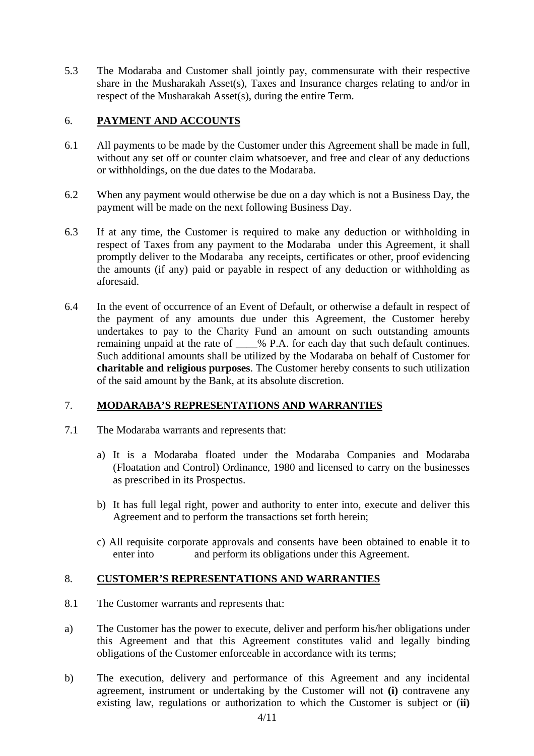5.3 The Modaraba and Customer shall jointly pay, commensurate with their respective share in the Musharakah Asset(s), Taxes and Insurance charges relating to and/or in respect of the Musharakah Asset(s), during the entire Term.

### 6. **PAYMENT AND ACCOUNTS**

- 6.1 All payments to be made by the Customer under this Agreement shall be made in full, without any set off or counter claim whatsoever, and free and clear of any deductions or withholdings, on the due dates to the Modaraba.
- 6.2 When any payment would otherwise be due on a day which is not a Business Day, the payment will be made on the next following Business Day.
- 6.3 If at any time, the Customer is required to make any deduction or withholding in respect of Taxes from any payment to the Modaraba under this Agreement, it shall promptly deliver to the Modaraba any receipts, certificates or other, proof evidencing the amounts (if any) paid or payable in respect of any deduction or withholding as aforesaid.
- 6.4 In the event of occurrence of an Event of Default, or otherwise a default in respect of the payment of any amounts due under this Agreement, the Customer hereby undertakes to pay to the Charity Fund an amount on such outstanding amounts remaining unpaid at the rate of \_\_\_\_% P.A. for each day that such default continues. Such additional amounts shall be utilized by the Modaraba on behalf of Customer for **charitable and religious purposes**. The Customer hereby consents to such utilization of the said amount by the Bank, at its absolute discretion.

### 7. **MODARABA'S REPRESENTATIONS AND WARRANTIES**

- 7.1 The Modaraba warrants and represents that:
	- a) It is a Modaraba floated under the Modaraba Companies and Modaraba (Floatation and Control) Ordinance, 1980 and licensed to carry on the businesses as prescribed in its Prospectus.
	- b) It has full legal right, power and authority to enter into, execute and deliver this Agreement and to perform the transactions set forth herein;
	- c) All requisite corporate approvals and consents have been obtained to enable it to enter into and perform its obligations under this Agreement.

### 8. **CUSTOMER'S REPRESENTATIONS AND WARRANTIES**

- 8.1 The Customer warrants and represents that:
- a) The Customer has the power to execute, deliver and perform his/her obligations under this Agreement and that this Agreement constitutes valid and legally binding obligations of the Customer enforceable in accordance with its terms;
- b) The execution, delivery and performance of this Agreement and any incidental agreement, instrument or undertaking by the Customer will not **(i)** contravene any existing law, regulations or authorization to which the Customer is subject or (**ii)**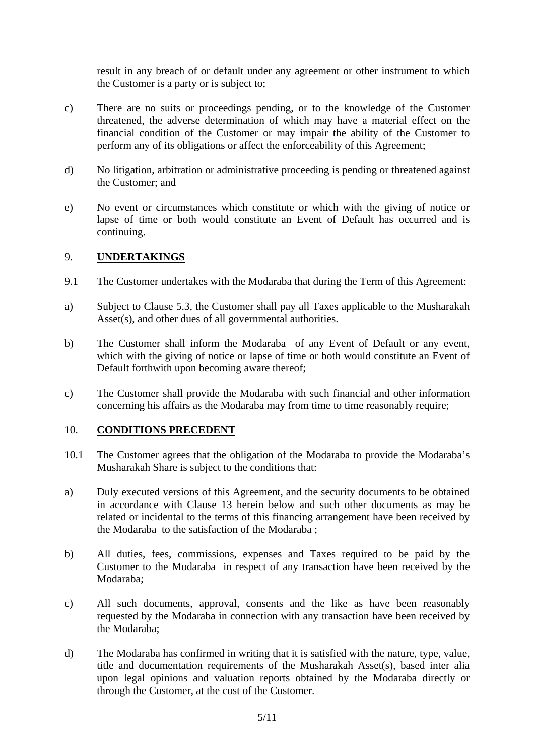result in any breach of or default under any agreement or other instrument to which the Customer is a party or is subject to;

- c) There are no suits or proceedings pending, or to the knowledge of the Customer threatened, the adverse determination of which may have a material effect on the financial condition of the Customer or may impair the ability of the Customer to perform any of its obligations or affect the enforceability of this Agreement;
- d) No litigation, arbitration or administrative proceeding is pending or threatened against the Customer; and
- e) No event or circumstances which constitute or which with the giving of notice or lapse of time or both would constitute an Event of Default has occurred and is continuing.

#### 9. **UNDERTAKINGS**

- 9.1 The Customer undertakes with the Modaraba that during the Term of this Agreement:
- a) Subject to Clause 5.3, the Customer shall pay all Taxes applicable to the Musharakah Asset(s), and other dues of all governmental authorities.
- b) The Customer shall inform the Modaraba of any Event of Default or any event, which with the giving of notice or lapse of time or both would constitute an Event of Default forthwith upon becoming aware thereof;
- c) The Customer shall provide the Modaraba with such financial and other information concerning his affairs as the Modaraba may from time to time reasonably require;

#### 10. **CONDITIONS PRECEDENT**

- 10.1 The Customer agrees that the obligation of the Modaraba to provide the Modaraba's Musharakah Share is subject to the conditions that:
- a) Duly executed versions of this Agreement, and the security documents to be obtained in accordance with Clause 13 herein below and such other documents as may be related or incidental to the terms of this financing arrangement have been received by the Modaraba to the satisfaction of the Modaraba ;
- b) All duties, fees, commissions, expenses and Taxes required to be paid by the Customer to the Modaraba in respect of any transaction have been received by the Modaraba;
- c) All such documents, approval, consents and the like as have been reasonably requested by the Modaraba in connection with any transaction have been received by the Modaraba;
- d) The Modaraba has confirmed in writing that it is satisfied with the nature, type, value, title and documentation requirements of the Musharakah Asset(s), based inter alia upon legal opinions and valuation reports obtained by the Modaraba directly or through the Customer, at the cost of the Customer.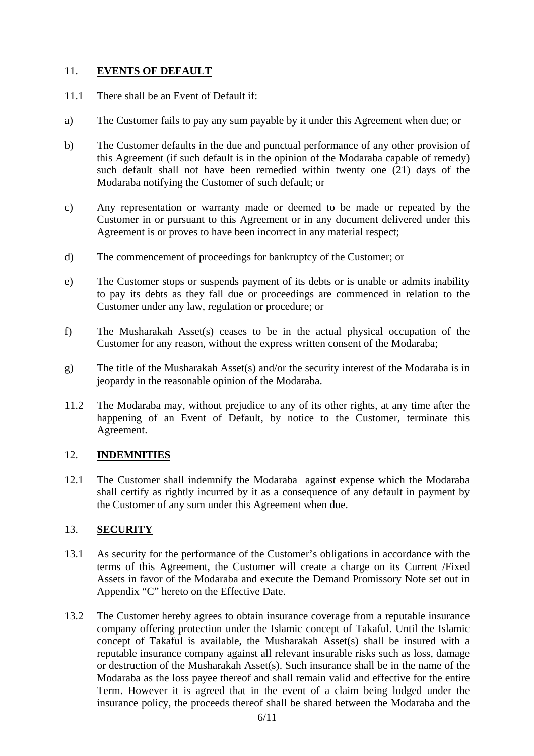### 11. **EVENTS OF DEFAULT**

- 11.1 There shall be an Event of Default if:
- a) The Customer fails to pay any sum payable by it under this Agreement when due; or
- b) The Customer defaults in the due and punctual performance of any other provision of this Agreement (if such default is in the opinion of the Modaraba capable of remedy) such default shall not have been remedied within twenty one (21) days of the Modaraba notifying the Customer of such default; or
- c) Any representation or warranty made or deemed to be made or repeated by the Customer in or pursuant to this Agreement or in any document delivered under this Agreement is or proves to have been incorrect in any material respect;
- d) The commencement of proceedings for bankruptcy of the Customer; or
- e) The Customer stops or suspends payment of its debts or is unable or admits inability to pay its debts as they fall due or proceedings are commenced in relation to the Customer under any law, regulation or procedure; or
- f) The Musharakah Asset(s) ceases to be in the actual physical occupation of the Customer for any reason, without the express written consent of the Modaraba;
- g) The title of the Musharakah Asset(s) and/or the security interest of the Modaraba is in jeopardy in the reasonable opinion of the Modaraba.
- 11.2 The Modaraba may, without prejudice to any of its other rights, at any time after the happening of an Event of Default, by notice to the Customer, terminate this Agreement.

### 12. **INDEMNITIES**

12.1 The Customer shall indemnify the Modaraba against expense which the Modaraba shall certify as rightly incurred by it as a consequence of any default in payment by the Customer of any sum under this Agreement when due.

## 13. **SECURITY**

- 13.1 As security for the performance of the Customer's obligations in accordance with the terms of this Agreement, the Customer will create a charge on its Current /Fixed Assets in favor of the Modaraba and execute the Demand Promissory Note set out in Appendix "C" hereto on the Effective Date.
- 13.2 The Customer hereby agrees to obtain insurance coverage from a reputable insurance company offering protection under the Islamic concept of Takaful. Until the Islamic concept of Takaful is available, the Musharakah Asset(s) shall be insured with a reputable insurance company against all relevant insurable risks such as loss, damage or destruction of the Musharakah Asset(s). Such insurance shall be in the name of the Modaraba as the loss payee thereof and shall remain valid and effective for the entire Term. However it is agreed that in the event of a claim being lodged under the insurance policy, the proceeds thereof shall be shared between the Modaraba and the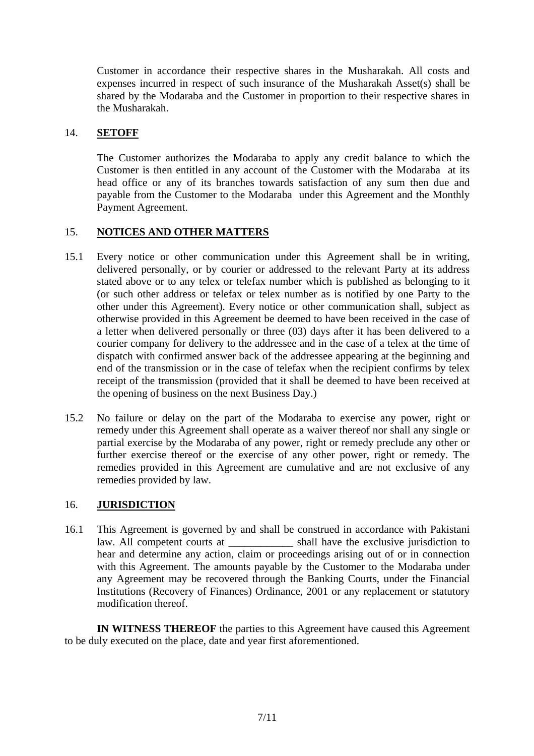Customer in accordance their respective shares in the Musharakah. All costs and expenses incurred in respect of such insurance of the Musharakah Asset(s) shall be shared by the Modaraba and the Customer in proportion to their respective shares in the Musharakah.

### 14. **SETOFF**

The Customer authorizes the Modaraba to apply any credit balance to which the Customer is then entitled in any account of the Customer with the Modaraba at its head office or any of its branches towards satisfaction of any sum then due and payable from the Customer to the Modaraba under this Agreement and the Monthly Payment Agreement.

### 15. **NOTICES AND OTHER MATTERS**

- 15.1 Every notice or other communication under this Agreement shall be in writing, delivered personally, or by courier or addressed to the relevant Party at its address stated above or to any telex or telefax number which is published as belonging to it (or such other address or telefax or telex number as is notified by one Party to the other under this Agreement). Every notice or other communication shall, subject as otherwise provided in this Agreement be deemed to have been received in the case of a letter when delivered personally or three (03) days after it has been delivered to a courier company for delivery to the addressee and in the case of a telex at the time of dispatch with confirmed answer back of the addressee appearing at the beginning and end of the transmission or in the case of telefax when the recipient confirms by telex receipt of the transmission (provided that it shall be deemed to have been received at the opening of business on the next Business Day.)
- 15.2 No failure or delay on the part of the Modaraba to exercise any power, right or remedy under this Agreement shall operate as a waiver thereof nor shall any single or partial exercise by the Modaraba of any power, right or remedy preclude any other or further exercise thereof or the exercise of any other power, right or remedy. The remedies provided in this Agreement are cumulative and are not exclusive of any remedies provided by law.

#### 16. **JURISDICTION**

16.1 This Agreement is governed by and shall be construed in accordance with Pakistani law. All competent courts at \_\_\_\_\_\_\_\_\_\_\_\_ shall have the exclusive jurisdiction to hear and determine any action, claim or proceedings arising out of or in connection with this Agreement. The amounts payable by the Customer to the Modaraba under any Agreement may be recovered through the Banking Courts, under the Financial Institutions (Recovery of Finances) Ordinance, 2001 or any replacement or statutory modification thereof.

 **IN WITNESS THEREOF** the parties to this Agreement have caused this Agreement to be duly executed on the place, date and year first aforementioned.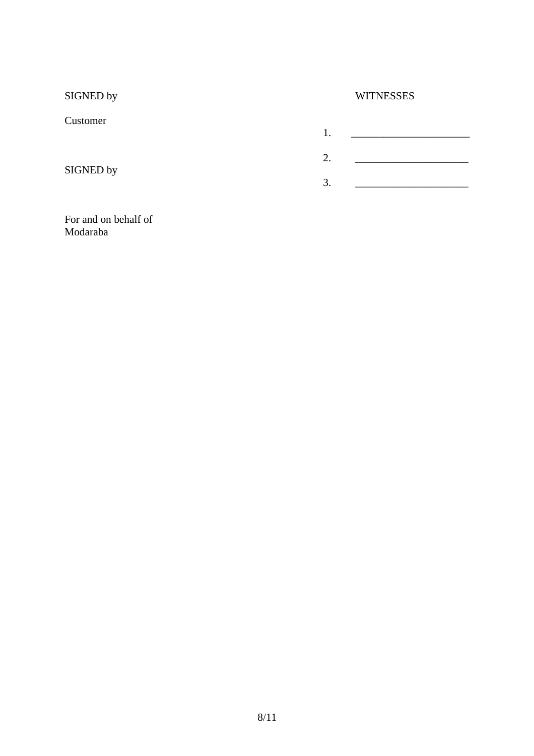| SIGNED by |    | <b>WITNESSES</b> |  |  |
|-----------|----|------------------|--|--|
| Customer  |    |                  |  |  |
|           | 1. |                  |  |  |
|           | 2. |                  |  |  |
| SIGNED by | 3. |                  |  |  |
|           |    |                  |  |  |

#### For and on behalf of Modaraba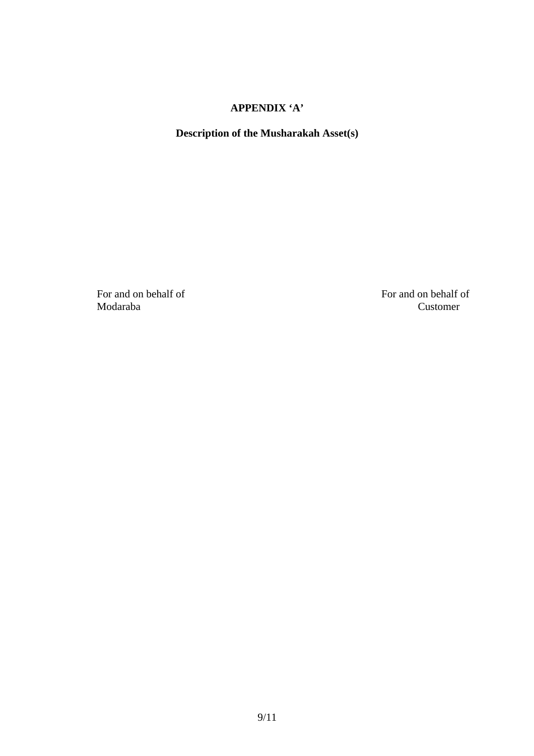# **APPENDIX 'A'**

# **Description of the Musharakah Asset(s)**

For and on behalf of For and on behalf of For and on behalf of Customer Customer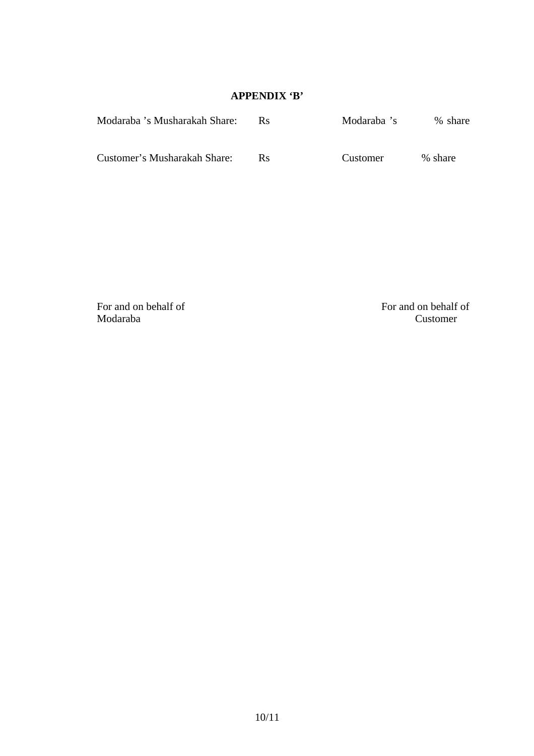# **APPENDIX 'B'**

| Modaraba 's Musharakah Share: | Rs.     | Modaraba 's | % share |
|-------------------------------|---------|-------------|---------|
| Customer's Musharakah Share:  | $R_{S}$ | Customer    | % share |

Modaraba Customer

For and on behalf of For and on behalf of